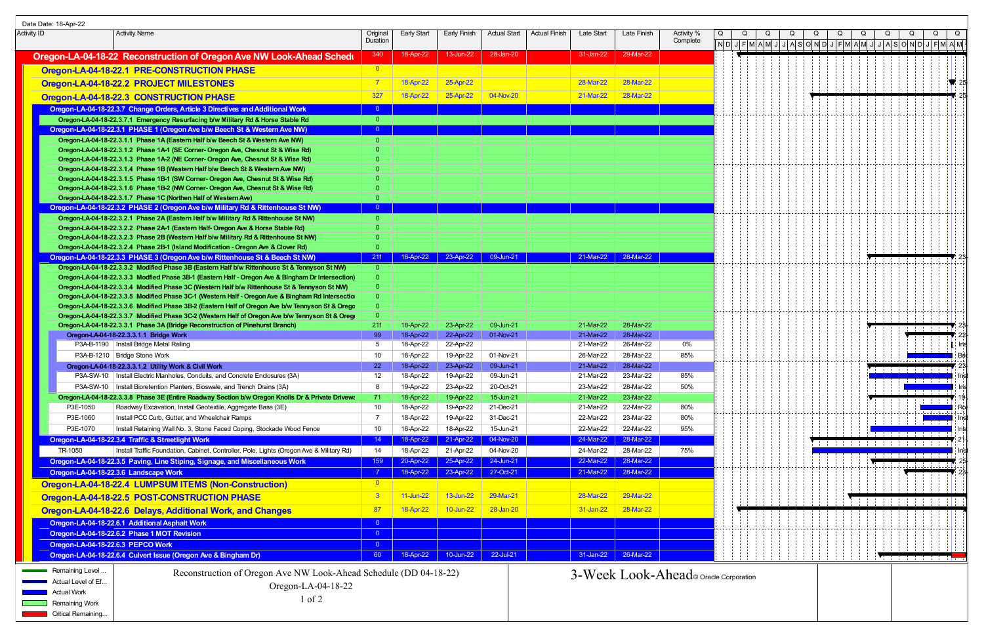| Data Date: 18-Apr-22 |                                                                                                                                                                                                      |                                |                        |                        |                        |               |                        |                        |                                        |  |  |                                                                                                                                                                                                                                                                                                                                                                                                             |   |                                      |   |
|----------------------|------------------------------------------------------------------------------------------------------------------------------------------------------------------------------------------------------|--------------------------------|------------------------|------------------------|------------------------|---------------|------------------------|------------------------|----------------------------------------|--|--|-------------------------------------------------------------------------------------------------------------------------------------------------------------------------------------------------------------------------------------------------------------------------------------------------------------------------------------------------------------------------------------------------------------|---|--------------------------------------|---|
| Activity ID          | <b>Activity Name</b>                                                                                                                                                                                 | Original<br>Duration           | Early Start            | Early Finish           | <b>Actual Start</b>    | Actual Finish | Late Start             | Late Finish            | Activity %<br>Complete                 |  |  |                                                                                                                                                                                                                                                                                                                                                                                                             |   |                                      | Q |
|                      |                                                                                                                                                                                                      |                                |                        | 13-Jun-22              | 28-Jan-20              |               | 31-Jan-22              | 29-Mar-22              |                                        |  |  | $\mid$ N $\mid$ D $\mid$ J $\mid$ F $\mid$ M $\mid$ A $\mid$ M $\mid$ J $\mid$ A $\mid$ S $\mid$ O $\mid$ N $\mid$ D $\mid$ J $\mid$ A $\mid$ N $\mid$ N $\mid$ A $\mid$ N $\mid$ A $\mid$ M $\mid$ A $\mid$ M $\mid$ A $\mid$ M $\mid$ A $\mid$ M $\mid$ A $\mid$ M $\mid$ A $\mid$ M $\mid$ A $\mid$ M $\mid$ A $\mid$ M $\mid$ A $\mid$ M $\mid$ A $\mid$ M $\mid$ A $\mid$ M $\mid$ A $\mid$ M $\mid$ A |   |                                      |   |
|                      | Oregon-LA-04-18-22 Reconstruction of Oregon Ave NW Look-Ahead Schedu                                                                                                                                 | 340                            | 18-Apr-22              |                        |                        |               |                        |                        |                                        |  |  |                                                                                                                                                                                                                                                                                                                                                                                                             |   |                                      |   |
|                      | Oregon-LA-04-18-22.1 PRE-CONSTRUCTION PHASE                                                                                                                                                          | $\overline{0}$                 |                        |                        |                        |               |                        |                        |                                        |  |  |                                                                                                                                                                                                                                                                                                                                                                                                             |   |                                      |   |
|                      | Oregon-LA-04-18-22.2 PROJECT MILESTONES                                                                                                                                                              | $\overline{7}$                 | 18-Apr-22              | 25-Apr-22              |                        |               | 28-Mar-22              | 28-Mar-22              |                                        |  |  |                                                                                                                                                                                                                                                                                                                                                                                                             |   |                                      |   |
|                      | Oregon-LA-04-18-22.3 CONSTRUCTION PHASE                                                                                                                                                              | 327                            | 18-Apr-22              | 25-Apr-22              | 04-Nov-20              |               | 21-Mar-22              | 28-Mar-22              |                                        |  |  |                                                                                                                                                                                                                                                                                                                                                                                                             |   |                                      |   |
|                      | Oregon-LA-04-18-22.3.7 Change Orders, Article 3 Directives and Additional Work                                                                                                                       | $\overline{0}$                 |                        |                        |                        |               |                        |                        |                                        |  |  |                                                                                                                                                                                                                                                                                                                                                                                                             |   |                                      |   |
|                      | Oregon-LA-04-18-22.3.7.1 Emergency Resurfacing b/w Military Rd & Horse Stable Rd                                                                                                                     | $\overline{0}$                 |                        |                        |                        |               |                        |                        |                                        |  |  |                                                                                                                                                                                                                                                                                                                                                                                                             |   |                                      |   |
|                      | Oregon-LA-04-18-22.3.1 PHASE 1 (Oregon Ave b/w Beech St & Western Ave NW)                                                                                                                            | $\overline{0}$                 |                        |                        |                        |               |                        |                        |                                        |  |  |                                                                                                                                                                                                                                                                                                                                                                                                             |   |                                      |   |
|                      | Oregon-LA-04-18-22.3.1.1 Phase 1A (Eastern Half b/w Beech St & Western Ave NW)                                                                                                                       | $\overline{0}$                 |                        |                        |                        |               |                        |                        |                                        |  |  |                                                                                                                                                                                                                                                                                                                                                                                                             |   |                                      |   |
|                      | Oregon-LA-04-18-22.3.1.2 Phase 1A-1 (SE Corner- Oregon Ave, Chesnut St & Wise Rd)                                                                                                                    |                                |                        |                        |                        |               |                        |                        |                                        |  |  |                                                                                                                                                                                                                                                                                                                                                                                                             |   |                                      |   |
|                      | Oregon-LA-04-18-22.3.1.3 Phase 1A-2 (NE Corner- Oregon Ave, Chesnut St & Wise Rd)<br>Oregon-LA-04-18-22.3.1.4 Phase 1B (Western Half b/w Beech St & Western Ave NW)                                  |                                |                        |                        |                        |               |                        |                        |                                        |  |  |                                                                                                                                                                                                                                                                                                                                                                                                             |   |                                      |   |
|                      | Oregon-LA-04-18-22.3.1.5 Phase 1B-1 (SW Corner- Oregon Ave, Chesnut St & Wise Rd)                                                                                                                    |                                |                        |                        |                        |               |                        |                        |                                        |  |  |                                                                                                                                                                                                                                                                                                                                                                                                             |   |                                      |   |
|                      | Oregon-LA-04-18-22.3.1.6 Phase 1B-2 (NW Corner- Oregon Ave, Chesnut St & Wise Rd)                                                                                                                    |                                |                        |                        |                        |               |                        |                        |                                        |  |  |                                                                                                                                                                                                                                                                                                                                                                                                             |   |                                      |   |
|                      | Oregon-LA-04-18-22.3.1.7 Phase 1C (Northen Half of Western Ave)                                                                                                                                      | $\Omega$                       |                        |                        |                        |               |                        |                        |                                        |  |  |                                                                                                                                                                                                                                                                                                                                                                                                             |   |                                      |   |
|                      | Oregon-LA-04-18-22.3.2 PHASE 2 (Oregon Ave b/w Military Rd & Rittenhouse St NW)                                                                                                                      |                                |                        |                        |                        |               |                        |                        |                                        |  |  |                                                                                                                                                                                                                                                                                                                                                                                                             |   |                                      |   |
|                      | Oregon-LA-04-18-22.3.2.1 Phase 2A (Eastern Half b/w Military Rd & Rittenhouse St NW)<br>Oregon-LA-04-18-22.3.2.2 Phase 2A-1 (Eastern Half- Oregon Ave & Horse Stable Rd)                             | $\overline{0}$                 |                        |                        |                        |               |                        |                        |                                        |  |  |                                                                                                                                                                                                                                                                                                                                                                                                             |   |                                      |   |
|                      | Oregon-LA-04-18-22.3.2.3 Phase 2B (Western Half b/w Military Rd & Rittenhouse St NW)                                                                                                                 |                                |                        |                        |                        |               |                        |                        |                                        |  |  |                                                                                                                                                                                                                                                                                                                                                                                                             |   |                                      |   |
|                      | Oregon-LA-04-18-22.3.2.4 Phase 2B-1 (Island Modification - Oregon Ave & Clover Rd)                                                                                                                   |                                |                        |                        |                        |               |                        |                        |                                        |  |  |                                                                                                                                                                                                                                                                                                                                                                                                             |   |                                      |   |
|                      | Oregon-LA-04-18-22.3.3 PHASE 3 (Oregon Ave b/w Rittenhouse St & Beech St NW)                                                                                                                         | 211                            |                        | 18-Apr-22 23-Apr-22    | 09-Jun-21              |               | 21-Mar-22              | 28-Mar-22              |                                        |  |  |                                                                                                                                                                                                                                                                                                                                                                                                             |   |                                      |   |
|                      | Oregon-LA-04-18-22.3.3.2 Modified Phase 3B (Eastern Half b/w Rittenhouse St & Tennyson St NW)                                                                                                        | $\overline{0}$                 |                        |                        |                        |               |                        |                        |                                        |  |  |                                                                                                                                                                                                                                                                                                                                                                                                             |   |                                      |   |
|                      | Oregon-LA-04-18-22.3.3.3 Modfied Phase 3B-1 (Eastern Half - Oregon Ave & Bingham Dr Intersection)                                                                                                    | $\Omega$                       |                        |                        |                        |               |                        |                        |                                        |  |  |                                                                                                                                                                                                                                                                                                                                                                                                             |   |                                      |   |
|                      | Oregon-LA-04-18-22.3.3.4 Modified Phase 3C (Western Half b/w Rittenhouse St & Tennyson St NW)                                                                                                        |                                |                        |                        |                        |               |                        |                        |                                        |  |  |                                                                                                                                                                                                                                                                                                                                                                                                             |   |                                      |   |
|                      | Oregon-LA-04-18-22.3.3.5 Modified Phase 3C-1 (Western Half - Oregon Ave & Bingham Rd Intersectio<br>Oregon-LA-04-18-22.3.3.6 Modified Phase 3B-2 (Eastern Half of Oregon Ave b/w Tennyson St & Orego |                                |                        |                        |                        |               |                        |                        |                                        |  |  |                                                                                                                                                                                                                                                                                                                                                                                                             |   |                                      |   |
|                      | Oregon-LA-04-18-22.3.3.7 Modified Phase 3C-2 (Western Half of Oregon Ave b/w Tennyson St & Oregon                                                                                                    | $\Omega$                       |                        |                        |                        |               |                        |                        |                                        |  |  |                                                                                                                                                                                                                                                                                                                                                                                                             |   |                                      |   |
|                      | Oregon-LA-04-18-22.3.3.1 Phase 3A (Bridge Reconstruction of Pinehurst Branch)                                                                                                                        | 211                            | 18-Apr-22              | 23-Apr-22              | 09-Jun-21              |               | 21-Mar-22              | 28-Mar-22              |                                        |  |  |                                                                                                                                                                                                                                                                                                                                                                                                             |   |                                      |   |
|                      | Oregon-LA-04-18-22.3.3.1.1 Bridge Work                                                                                                                                                               | 99                             | 18-Apr-22              | 22-Apr-22              | 01-Nov-21              |               | 21-Mar-22              | 28-Mar-22              |                                        |  |  |                                                                                                                                                                                                                                                                                                                                                                                                             |   |                                      |   |
|                      | P3A-B-1190   Install Bridge Metal Railing                                                                                                                                                            | 5                              | 18-Apr-22              | 22-Apr-22              |                        |               | 21-Mar-22              | 26-Mar-22              | 0%                                     |  |  |                                                                                                                                                                                                                                                                                                                                                                                                             |   |                                      |   |
|                      | P3A-B-1210   Bridge Stone Work                                                                                                                                                                       | 10                             | 18-Apr-22<br>18-Apr-22 | 19-Apr-22<br>23-Apr-22 | 01-Nov-21<br>09-Jun-21 |               | 26-Mar-22<br>21-Mar-22 | 28-Mar-22<br>28-Mar-22 | 85%                                    |  |  |                                                                                                                                                                                                                                                                                                                                                                                                             |   |                                      |   |
|                      | Oregon-LA-04-18-22.3.3.1.2 Utility Work & Civil Work<br>P3A-SW-10:   Install Electric Manholes, Conduits, and Concrete Enclosures (3A)                                                               | <b>22</b><br>$12 \overline{ }$ | 18-Apr-22              | 19-Apr-22              | 09-Jun-21              |               | 21-Mar-22              | 23-Mar-22              | 85%                                    |  |  |                                                                                                                                                                                                                                                                                                                                                                                                             |   | the contract of the contract and the |   |
|                      | P3A-SW-10:   Install Bioretention Planters, Bioswale, and Trench Drains (3A)                                                                                                                         | 8                              | 19-Apr-22              | 23-Apr-22              | 20-Oct-21              |               | 23-Mar-22              | 28-Mar-22              | 50%                                    |  |  |                                                                                                                                                                                                                                                                                                                                                                                                             |   | .                                    |   |
|                      | Oregon-LA-04-18-22.3.3.8 Phase 3E (Entire Roadway Section b/w Oregon Knolls Dr & Private Drivewa                                                                                                     | 71.                            | 18-Apr-22              | 19-Apr-22              | 15-Jun-21              |               | 21-Mar-22              | 23-Mar-22              |                                        |  |  |                                                                                                                                                                                                                                                                                                                                                                                                             |   |                                      |   |
|                      | P3E-1050<br>Roadway Excavation, Install Geotextile, Aggregate Base (3E)                                                                                                                              | 10 <sup>°</sup>                | 18-Apr-22              | 19-Apr-22              | 21-Dec-21              |               | 21-Mar-22              | 22-Mar-22              | 80%                                    |  |  |                                                                                                                                                                                                                                                                                                                                                                                                             |   |                                      |   |
|                      | Install PCC Curb, Gutter, and Wheelchair Ramps<br>P3E-1060                                                                                                                                           | 7                              | 18-Apr-22              | 19-Apr-22              | 31-Dec-21              |               | 22-Mar-22              | 23-Mar-22              | 80%                                    |  |  |                                                                                                                                                                                                                                                                                                                                                                                                             |   |                                      |   |
|                      | P3E-1070<br>Install Retaining Wall No. 3, Stone Faced Coping, Stockade Wood Fence                                                                                                                    | 10 <sup>°</sup>                | 18-Apr-22              | 18-Apr-22              | 15-Jun-21              |               | 22-Mar-22              | 22-Mar-22              | 95%                                    |  |  |                                                                                                                                                                                                                                                                                                                                                                                                             |   |                                      |   |
|                      | Oregon-LA-04-18-22.3.4 Traffic & Streetlight Work                                                                                                                                                    | 14                             | 18-Apr-22              | 21-Apr-22              | 04-Nov-20              |               | 24-Mar-22              | 28-Mar-22              |                                        |  |  | .                                                                                                                                                                                                                                                                                                                                                                                                           |   |                                      |   |
|                      | Install Traffic Foundation, Cabinet, Controller, Pole, Lights (Oregon Ave & Military Rd)<br>TR-1050                                                                                                  | 14                             | 18-Apr-22              | 21-Apr-22              | 04-Nov-20              |               | 24-Mar-22              | 28-Mar-22              | 75%                                    |  |  |                                                                                                                                                                                                                                                                                                                                                                                                             | . |                                      |   |
|                      | Oregon-LA-04-18-22.3.5 Paving, Line Stiping, Signage, and Miscellaneous Work                                                                                                                         | 159                            | 20-Apr-22              | 25-Apr-22              | 24-Jun-21              |               | 22-Mar-22              | 28-Mar-22              |                                        |  |  |                                                                                                                                                                                                                                                                                                                                                                                                             |   |                                      |   |
|                      | Oregon-LA-04-18-22.3.6 Landscape Work                                                                                                                                                                |                                | 18-Apr-22              | 23-Apr-22              | 27-Oct-21              |               | 21-Mar-22              | 28-Mar-22              |                                        |  |  |                                                                                                                                                                                                                                                                                                                                                                                                             |   |                                      |   |
|                      | Oregon-LA-04-18-22.4 LUMPSUM ITEMS (Non-Construction)                                                                                                                                                | $\overline{\mathbf{0}}$        |                        |                        |                        |               |                        |                        |                                        |  |  |                                                                                                                                                                                                                                                                                                                                                                                                             |   |                                      |   |
|                      | Oregon-LA-04-18-22.5 POST-CONSTRUCTION PHASE                                                                                                                                                         | 3 <sup>°</sup>                 | 11-Jun-22              | 13-Jun-22              | 29-Mar-21              |               | 28-Mar-22              | 29-Mar-22              |                                        |  |  |                                                                                                                                                                                                                                                                                                                                                                                                             |   |                                      |   |
|                      | Oregon-LA-04-18-22.6 Delays, Additional Work, and Changes                                                                                                                                            | 87                             | 18-Apr-22              | 10-Jun-22              | 28-Jan-20              |               | 31-Jan-22              | 28-Mar-22              |                                        |  |  |                                                                                                                                                                                                                                                                                                                                                                                                             |   |                                      |   |
|                      | Oregon-LA-04-18-22.6.1 Additional Asphalt Work                                                                                                                                                       | $\overline{0}$                 |                        |                        |                        |               |                        |                        |                                        |  |  |                                                                                                                                                                                                                                                                                                                                                                                                             |   |                                      |   |
|                      | Oregon-LA-04-18-22.6.2 Phase 1 MOT Revision                                                                                                                                                          | $\overline{0}$                 |                        |                        |                        |               |                        |                        |                                        |  |  |                                                                                                                                                                                                                                                                                                                                                                                                             |   |                                      |   |
|                      | Oregon-LA-04-18-22.6.3 PEPCO Work                                                                                                                                                                    | $\overline{0}$                 |                        |                        |                        |               |                        |                        |                                        |  |  |                                                                                                                                                                                                                                                                                                                                                                                                             |   |                                      |   |
|                      | Oregon-LA-04-18-22.6.4 Culvert Issue (Oregon Ave & Bingham Dr)                                                                                                                                       | 60                             | 18-Apr-22              |                        | 10-Jun-22 22-Jul-21    |               |                        | 31-Jan-22 26-Mar-22    |                                        |  |  |                                                                                                                                                                                                                                                                                                                                                                                                             |   | <b>Martin Barbara</b>                |   |
|                      | Remaining Level<br>Reconstruction of Oregon Ave NW Look-Ahead Schedule (DD 04-18-22)                                                                                                                 |                                |                        |                        |                        |               |                        |                        |                                        |  |  |                                                                                                                                                                                                                                                                                                                                                                                                             |   |                                      |   |
|                      | Actual Level of Ef<br>Oregon-LA-04-18-22                                                                                                                                                             |                                |                        |                        |                        |               |                        |                        | 3-Week Look-Ahead © Oracle Corporation |  |  |                                                                                                                                                                                                                                                                                                                                                                                                             |   |                                      |   |
|                      | <b>Actual Work</b>                                                                                                                                                                                   |                                |                        |                        |                        |               |                        |                        |                                        |  |  |                                                                                                                                                                                                                                                                                                                                                                                                             |   |                                      |   |
|                      | $1$ of $2$<br><b>Remaining Work</b>                                                                                                                                                                  |                                |                        |                        |                        |               |                        |                        |                                        |  |  |                                                                                                                                                                                                                                                                                                                                                                                                             |   |                                      |   |
|                      | Critical Remaining.                                                                                                                                                                                  |                                |                        |                        |                        |               |                        |                        |                                        |  |  |                                                                                                                                                                                                                                                                                                                                                                                                             |   |                                      |   |
|                      |                                                                                                                                                                                                      |                                |                        |                        |                        |               |                        |                        |                                        |  |  |                                                                                                                                                                                                                                                                                                                                                                                                             |   |                                      |   |